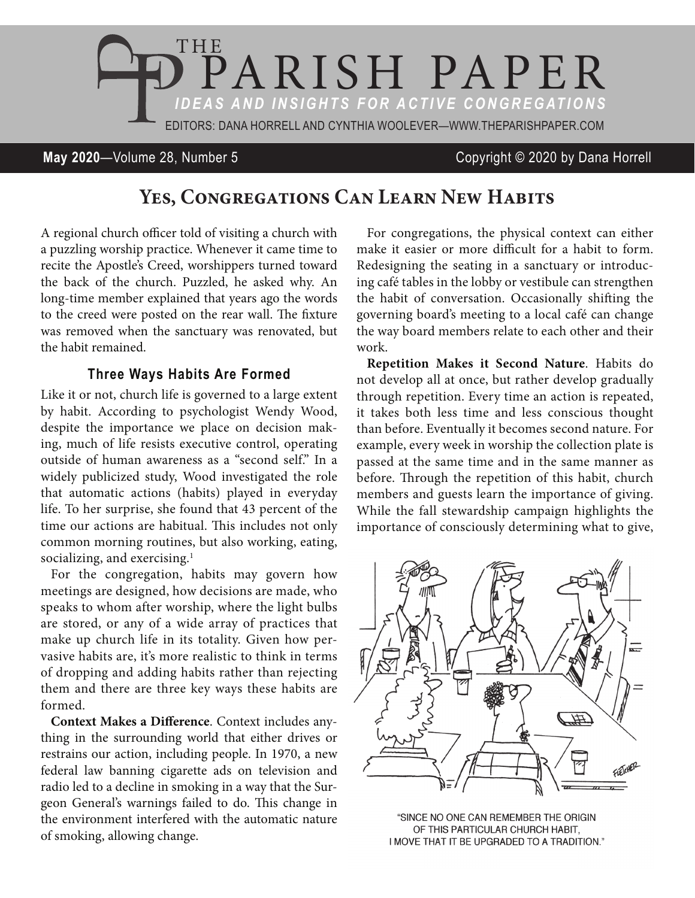

**May 2020**—Volume 28, Number 5 Copyright © 2020 by Dana Horrell

## **Yes, Congregations Can Learn New Habits**

A regional church officer told of visiting a church with a puzzling worship practice. Whenever it came time to recite the Apostle's Creed, worshippers turned toward the back of the church. Puzzled, he asked why. An long-time member explained that years ago the words to the creed were posted on the rear wall. The fixture was removed when the sanctuary was renovated, but the habit remained.

## **Three Ways Habits Are Formed**

Like it or not, church life is governed to a large extent by habit. According to psychologist Wendy Wood, despite the importance we place on decision making, much of life resists executive control, operating outside of human awareness as a "second self." In a widely publicized study, Wood investigated the role that automatic actions (habits) played in everyday life. To her surprise, she found that 43 percent of the time our actions are habitual. This includes not only common morning routines, but also working, eating, socializing, and exercising.<sup>1</sup>

For the congregation, habits may govern how meetings are designed, how decisions are made, who speaks to whom after worship, where the light bulbs are stored, or any of a wide array of practices that make up church life in its totality. Given how pervasive habits are, it's more realistic to think in terms of dropping and adding habits rather than rejecting them and there are three key ways these habits are formed.

**Context Makes a Difference**. Context includes anything in the surrounding world that either drives or restrains our action, including people. In 1970, a new federal law banning cigarette ads on television and radio led to a decline in smoking in a way that the Surgeon General's warnings failed to do. This change in the environment interfered with the automatic nature of smoking, allowing change.

For congregations, the physical context can either make it easier or more difficult for a habit to form. Redesigning the seating in a sanctuary or introducing café tables in the lobby or vestibule can strengthen the habit of conversation. Occasionally shifting the governing board's meeting to a local café can change the way board members relate to each other and their work.

**Repetition Makes it Second Nature**. Habits do not develop all at once, but rather develop gradually through repetition. Every time an action is repeated, it takes both less time and less conscious thought than before. Eventually it becomes second nature. For example, every week in worship the collection plate is passed at the same time and in the same manner as before. Through the repetition of this habit, church members and guests learn the importance of giving. While the fall stewardship campaign highlights the importance of consciously determining what to give,



"SINCE NO ONE CAN REMEMBER THE ORIGIN OF THIS PARTICULAR CHURCH HABIT, I MOVE THAT IT BE UPGRADED TO A TRADITION."